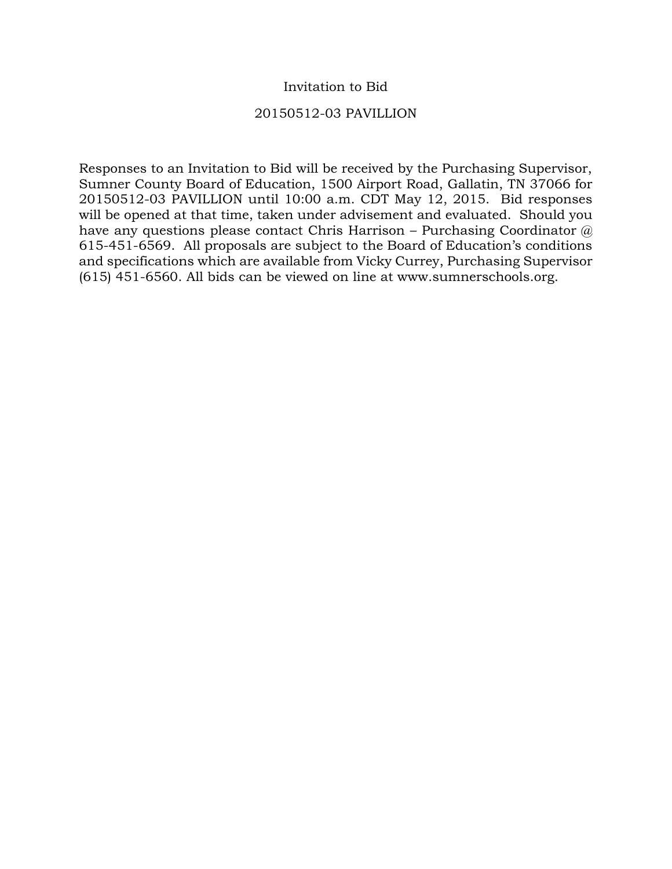## Invitation to Bid

## 20150512-03 PAVILLION

Responses to an Invitation to Bid will be received by the Purchasing Supervisor, Sumner County Board of Education, 1500 Airport Road, Gallatin, TN 37066 for 20150512-03 PAVILLION until 10:00 a.m. CDT May 12, 2015. Bid responses will be opened at that time, taken under advisement and evaluated. Should you have any questions please contact Chris Harrison – Purchasing Coordinator  $\omega$ 615-451-6569. All proposals are subject to the Board of Education's conditions and specifications which are available from Vicky Currey, Purchasing Supervisor (615) 451-6560. All bids can be viewed on line at www.sumnerschools.org.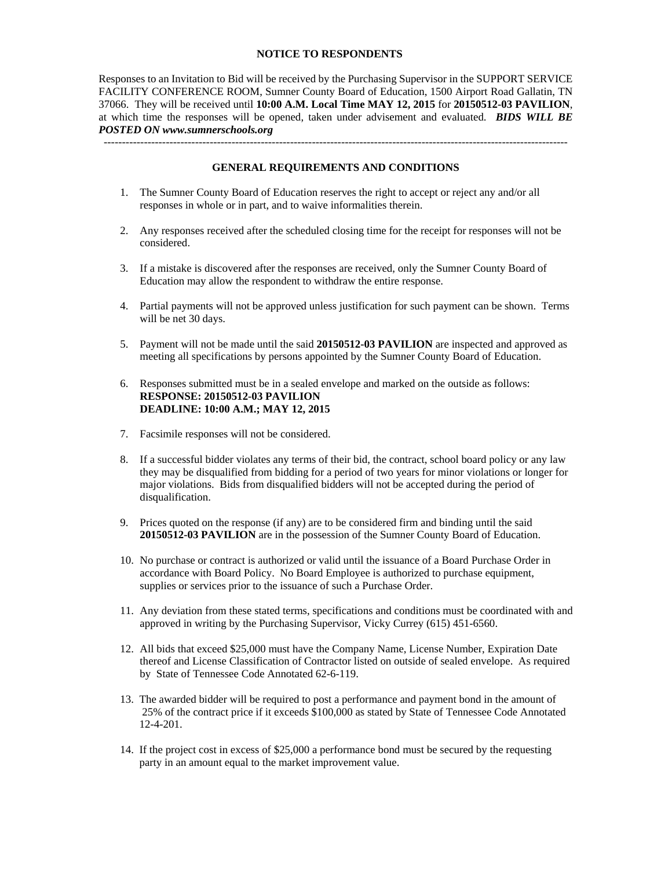#### **NOTICE TO RESPONDENTS**

Responses to an Invitation to Bid will be received by the Purchasing Supervisor in the SUPPORT SERVICE FACILITY CONFERENCE ROOM, Sumner County Board of Education, 1500 Airport Road Gallatin, TN 37066. They will be received until **10:00 A.M. Local Time MAY 12, 2015** for **20150512-03 PAVILION**, at which time the responses will be opened, taken under advisement and evaluated. *BIDS WILL BE POSTED ON www.sumnerschools.org* 

**GENERAL REQUIREMENTS AND CONDITIONS** 

-------------------------------------------------------------------------------------------------------------------------------

- 1. The Sumner County Board of Education reserves the right to accept or reject any and/or all responses in whole or in part, and to waive informalities therein.
- 2. Any responses received after the scheduled closing time for the receipt for responses will not be considered.
- 3. If a mistake is discovered after the responses are received, only the Sumner County Board of Education may allow the respondent to withdraw the entire response.
- 4. Partial payments will not be approved unless justification for such payment can be shown. Terms will be net 30 days.
- 5. Payment will not be made until the said **20150512-03 PAVILION** are inspected and approved as meeting all specifications by persons appointed by the Sumner County Board of Education.
- 6. Responses submitted must be in a sealed envelope and marked on the outside as follows: **RESPONSE: 20150512-03 PAVILION DEADLINE: 10:00 A.M.; MAY 12, 2015**
- 7. Facsimile responses will not be considered.
- 8. If a successful bidder violates any terms of their bid, the contract, school board policy or any law they may be disqualified from bidding for a period of two years for minor violations or longer for major violations. Bids from disqualified bidders will not be accepted during the period of disqualification.
- 9. Prices quoted on the response (if any) are to be considered firm and binding until the said **20150512-03 PAVILION** are in the possession of the Sumner County Board of Education.
- 10. No purchase or contract is authorized or valid until the issuance of a Board Purchase Order in accordance with Board Policy. No Board Employee is authorized to purchase equipment, supplies or services prior to the issuance of such a Purchase Order.
- 11. Any deviation from these stated terms, specifications and conditions must be coordinated with and approved in writing by the Purchasing Supervisor, Vicky Currey (615) 451-6560.
- 12. All bids that exceed \$25,000 must have the Company Name, License Number, Expiration Date thereof and License Classification of Contractor listed on outside of sealed envelope. As required by State of Tennessee Code Annotated 62-6-119.
- 13. The awarded bidder will be required to post a performance and payment bond in the amount of 25% of the contract price if it exceeds \$100,000 as stated by State of Tennessee Code Annotated 12-4-201.
- 14. If the project cost in excess of \$25,000 a performance bond must be secured by the requesting party in an amount equal to the market improvement value.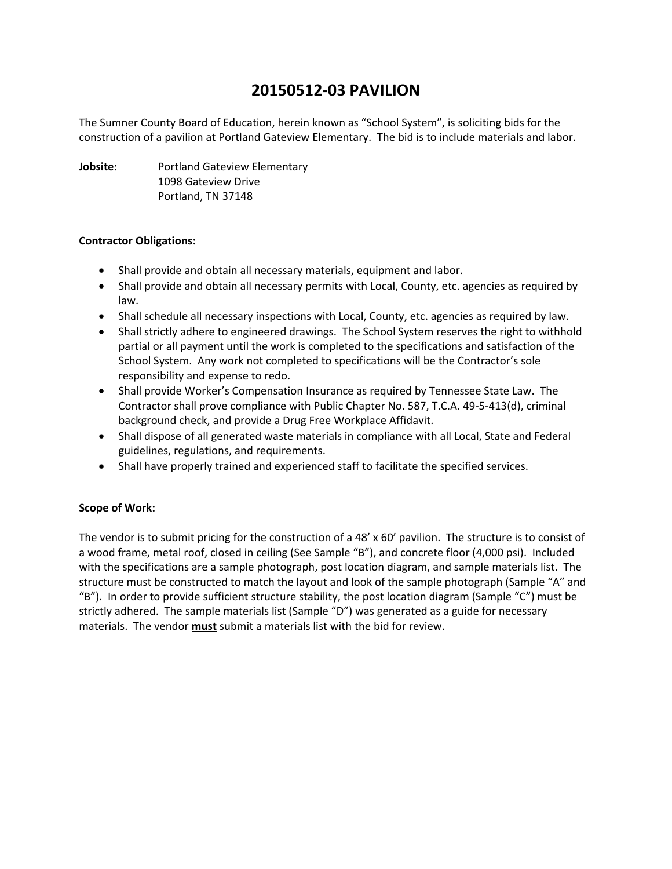# **20150512‐03 PAVILION**

The Sumner County Board of Education, herein known as "School System", is soliciting bids for the construction of a pavilion at Portland Gateview Elementary. The bid is to include materials and labor.

**Jobsite:** Portland Gateview Elementary 1098 Gateview Drive Portland, TN 37148

### **Contractor Obligations:**

- Shall provide and obtain all necessary materials, equipment and labor.
- Shall provide and obtain all necessary permits with Local, County, etc. agencies as required by law.
- Shall schedule all necessary inspections with Local, County, etc. agencies as required by law.
- Shall strictly adhere to engineered drawings. The School System reserves the right to withhold partial or all payment until the work is completed to the specifications and satisfaction of the School System. Any work not completed to specifications will be the Contractor's sole responsibility and expense to redo.
- Shall provide Worker's Compensation Insurance as required by Tennessee State Law. The Contractor shall prove compliance with Public Chapter No. 587, T.C.A. 49‐5‐413(d), criminal background check, and provide a Drug Free Workplace Affidavit.
- Shall dispose of all generated waste materials in compliance with all Local, State and Federal guidelines, regulations, and requirements.
- Shall have properly trained and experienced staff to facilitate the specified services.

### **Scope of Work:**

The vendor is to submit pricing for the construction of a 48' x 60' pavilion. The structure is to consist of a wood frame, metal roof, closed in ceiling (See Sample "B"), and concrete floor (4,000 psi). Included with the specifications are a sample photograph, post location diagram, and sample materials list. The structure must be constructed to match the layout and look of the sample photograph (Sample "A" and "B"). In order to provide sufficient structure stability, the post location diagram (Sample "C") must be strictly adhered. The sample materials list (Sample "D") was generated as a guide for necessary materials. The vendor **must** submit a materials list with the bid for review.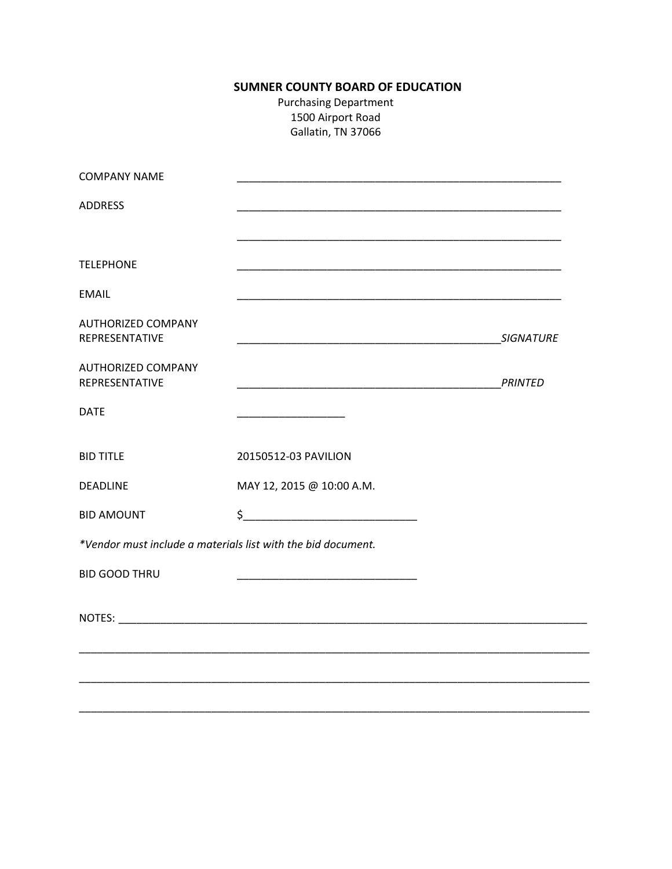## **SUMNER COUNTY BOARD OF EDUCATION**

**Purchasing Department** 1500 Airport Road Gallatin, TN 37066

| <b>COMPANY NAME</b>                         |                                                              |                  |
|---------------------------------------------|--------------------------------------------------------------|------------------|
| <b>ADDRESS</b>                              |                                                              |                  |
| <b>TELEPHONE</b>                            |                                                              |                  |
|                                             |                                                              |                  |
| <b>EMAIL</b>                                |                                                              |                  |
| <b>AUTHORIZED COMPANY</b><br>REPRESENTATIVE |                                                              | <b>SIGNATURE</b> |
| <b>AUTHORIZED COMPANY</b><br>REPRESENTATIVE |                                                              |                  |
| <b>DATE</b>                                 |                                                              |                  |
| <b>BID TITLE</b>                            | 20150512-03 PAVILION                                         |                  |
| <b>DEADLINE</b>                             | MAY 12, 2015 @ 10:00 A.M.                                    |                  |
| <b>BID AMOUNT</b>                           | $\frac{1}{2}$                                                |                  |
|                                             | *Vendor must include a materials list with the bid document. |                  |
| <b>BID GOOD THRU</b>                        |                                                              |                  |
|                                             |                                                              |                  |
|                                             |                                                              |                  |
|                                             |                                                              |                  |
|                                             |                                                              |                  |

 $\overline{\phantom{0}}$ 

 $\overline{\phantom{0}}$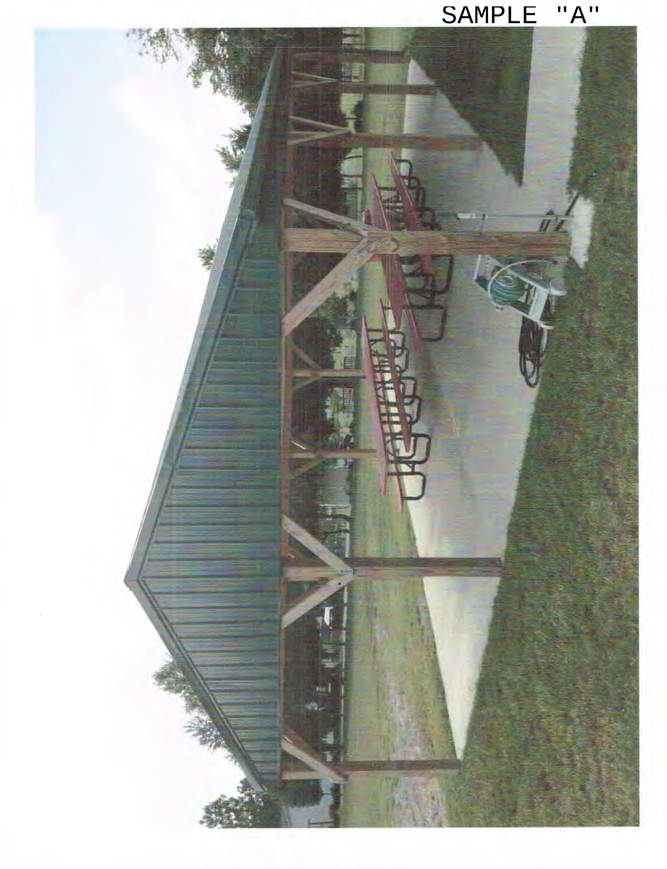

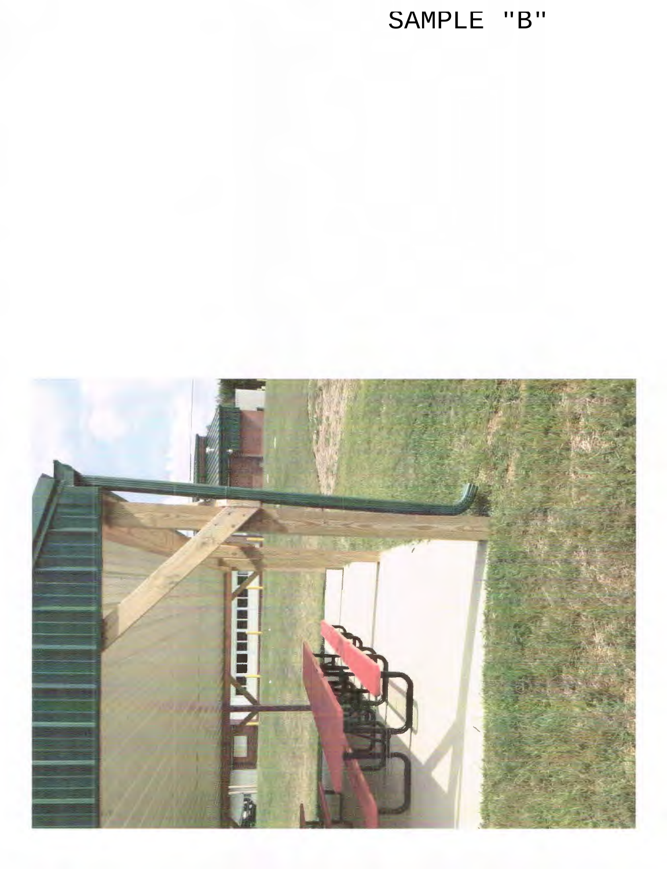

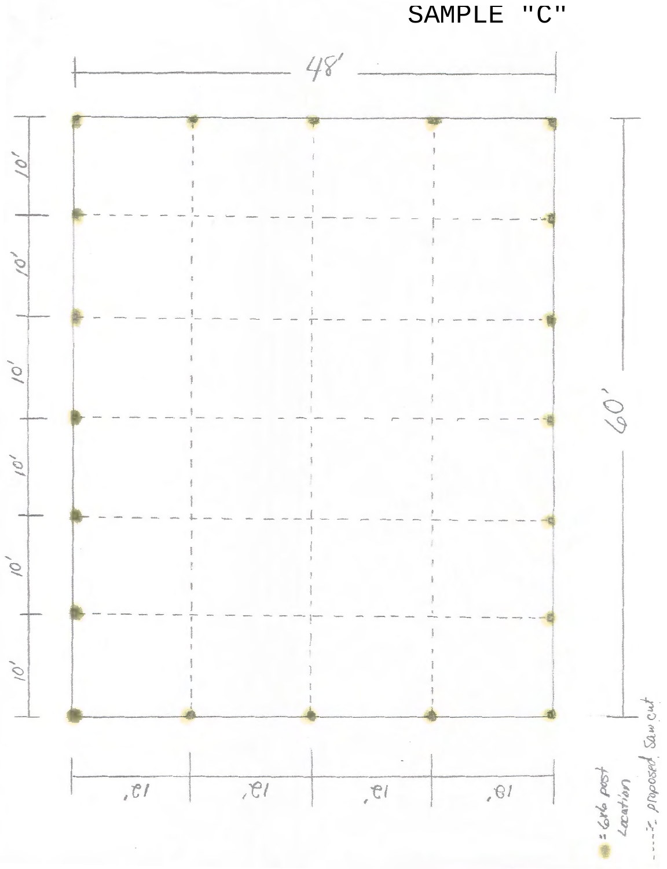